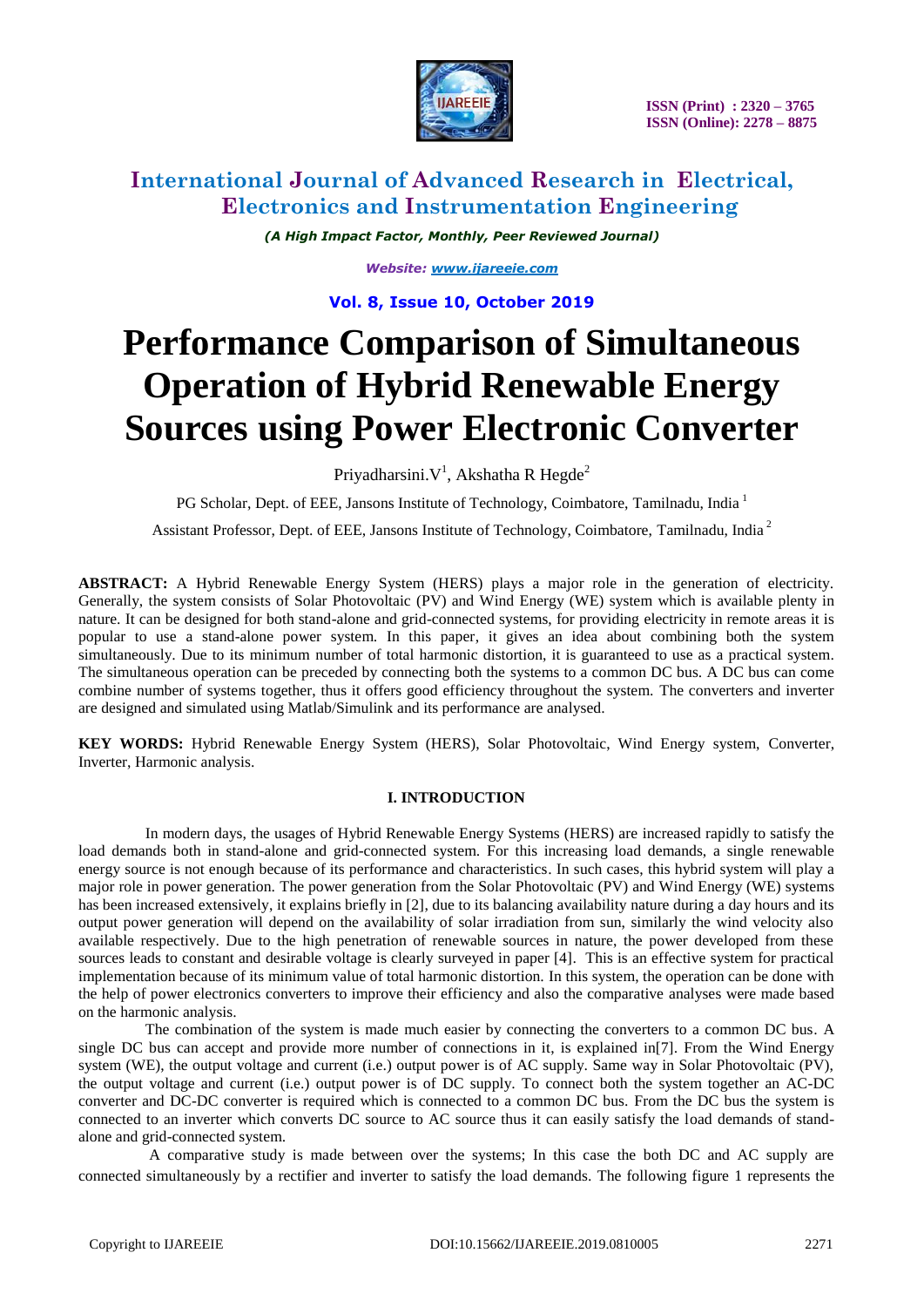

### **International Journal of Advanced Research in Electrical, Electronics and Instrumentation Engineering**

*(A High Impact Factor, Monthly, Peer Reviewed Journal)*

*Website: [www.ijareeie.com](http://www.ijareeie.com/)*

**Vol. 8, Issue 10, October 2019**

# **Performance Comparison of Simultaneous Operation of Hybrid Renewable Energy Sources using Power Electronic Converter**

Priyadharsini. $V<sup>1</sup>$ , Akshatha R Hegde<sup>2</sup>

PG Scholar, Dept. of EEE, Jansons Institute of Technology, Coimbatore, Tamilnadu, India<sup>1</sup>

Assistant Professor, Dept. of EEE, Jansons Institute of Technology, Coimbatore, Tamilnadu, India <sup>2</sup>

**ABSTRACT:** A Hybrid Renewable Energy System (HERS) plays a major role in the generation of electricity. Generally, the system consists of Solar Photovoltaic (PV) and Wind Energy (WE) system which is available plenty in nature. It can be designed for both stand-alone and grid-connected systems, for providing electricity in remote areas it is popular to use a stand-alone power system. In this paper, it gives an idea about combining both the system simultaneously. Due to its minimum number of total harmonic distortion, it is guaranteed to use as a practical system. The simultaneous operation can be preceded by connecting both the systems to a common DC bus. A DC bus can come combine number of systems together, thus it offers good efficiency throughout the system. The converters and inverter are designed and simulated using Matlab/Simulink and its performance are analysed.

**KEY WORDS:** Hybrid Renewable Energy System (HERS), Solar Photovoltaic, Wind Energy system, Converter, Inverter, Harmonic analysis.

#### **I. INTRODUCTION**

In modern days, the usages of Hybrid Renewable Energy Systems (HERS) are increased rapidly to satisfy the load demands both in stand-alone and grid-connected system. For this increasing load demands, a single renewable energy source is not enough because of its performance and characteristics. In such cases, this hybrid system will play a major role in power generation. The power generation from the Solar Photovoltaic (PV) and Wind Energy (WE) systems has been increased extensively, it explains briefly in [2], due to its balancing availability nature during a day hours and its output power generation will depend on the availability of solar irradiation from sun, similarly the wind velocity also available respectively. Due to the high penetration of renewable sources in nature, the power developed from these sources leads to constant and desirable voltage is clearly surveyed in paper [4]. This is an effective system for practical implementation because of its minimum value of total harmonic distortion. In this system, the operation can be done with the help of power electronics converters to improve their efficiency and also the comparative analyses were made based on the harmonic analysis.

The combination of the system is made much easier by connecting the converters to a common DC bus. A single DC bus can accept and provide more number of connections in it, is explained in[7]. From the Wind Energy system (WE), the output voltage and current (i.e.) output power is of AC supply. Same way in Solar Photovoltaic (PV), the output voltage and current (i.e.) output power is of DC supply. To connect both the system together an AC-DC converter and DC-DC converter is required which is connected to a common DC bus. From the DC bus the system is connected to an inverter which converts DC source to AC source thus it can easily satisfy the load demands of standalone and grid-connected system.

A comparative study is made between over the systems; In this case the both DC and AC supply are connected simultaneously by a rectifier and inverter to satisfy the load demands. The following figure 1 represents the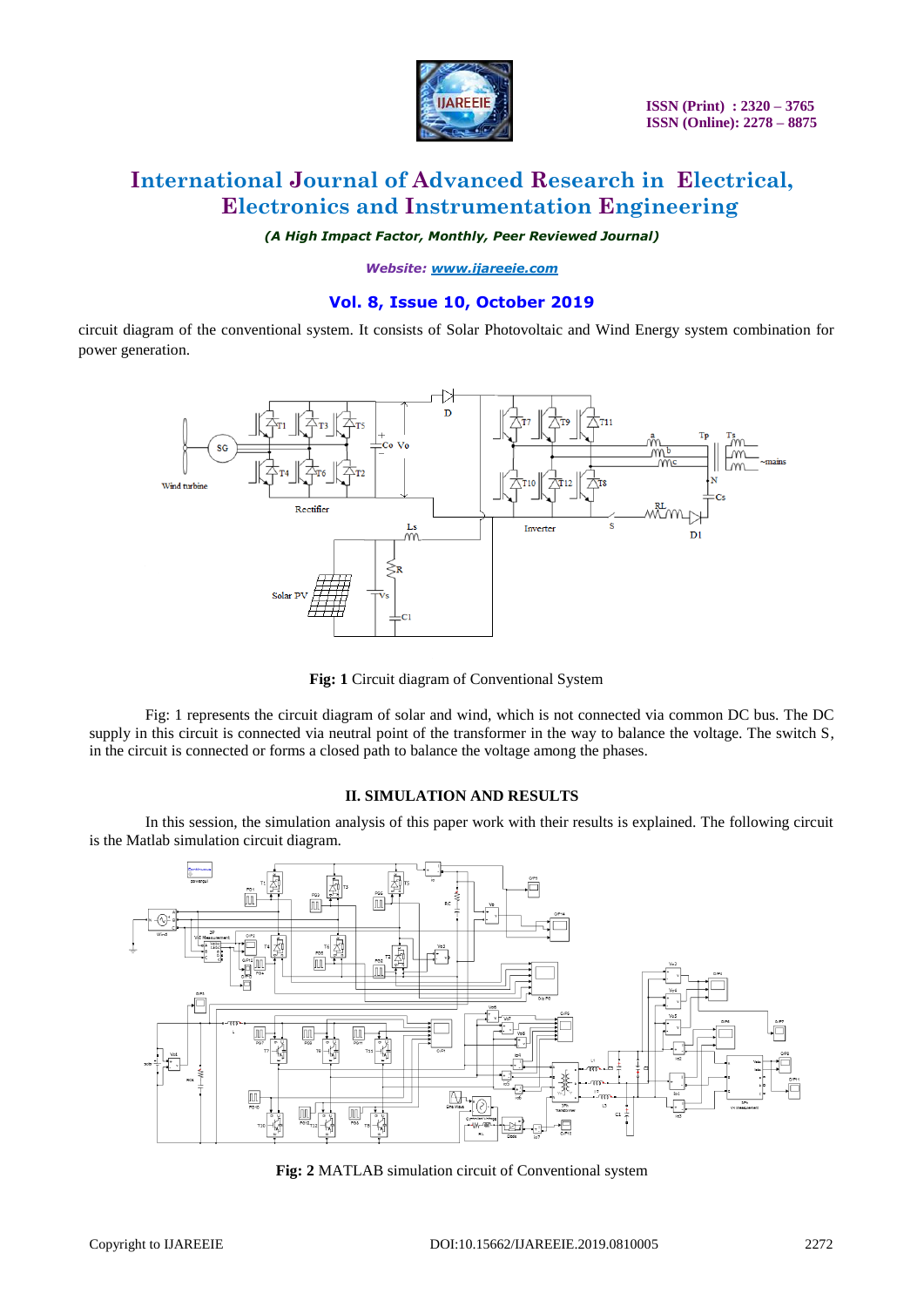

## **International Journal of Advanced Research in Electrical, Electronics and Instrumentation Engineering**

*(A High Impact Factor, Monthly, Peer Reviewed Journal)*

*Website: [www.ijareeie.com](http://www.ijareeie.com/)*

### **Vol. 8, Issue 10, October 2019**

circuit diagram of the conventional system. It consists of Solar Photovoltaic and Wind Energy system combination for power generation.



**Fig: 1** Circuit diagram of Conventional System

Fig: 1 represents the circuit diagram of solar and wind, which is not connected via common DC bus. The DC supply in this circuit is connected via neutral point of the transformer in the way to balance the voltage. The switch S, in the circuit is connected or forms a closed path to balance the voltage among the phases.

#### **II. SIMULATION AND RESULTS**

In this session, the simulation analysis of this paper work with their results is explained. The following circuit is the Matlab simulation circuit diagram.



**Fig: 2** MATLAB simulation circuit of Conventional system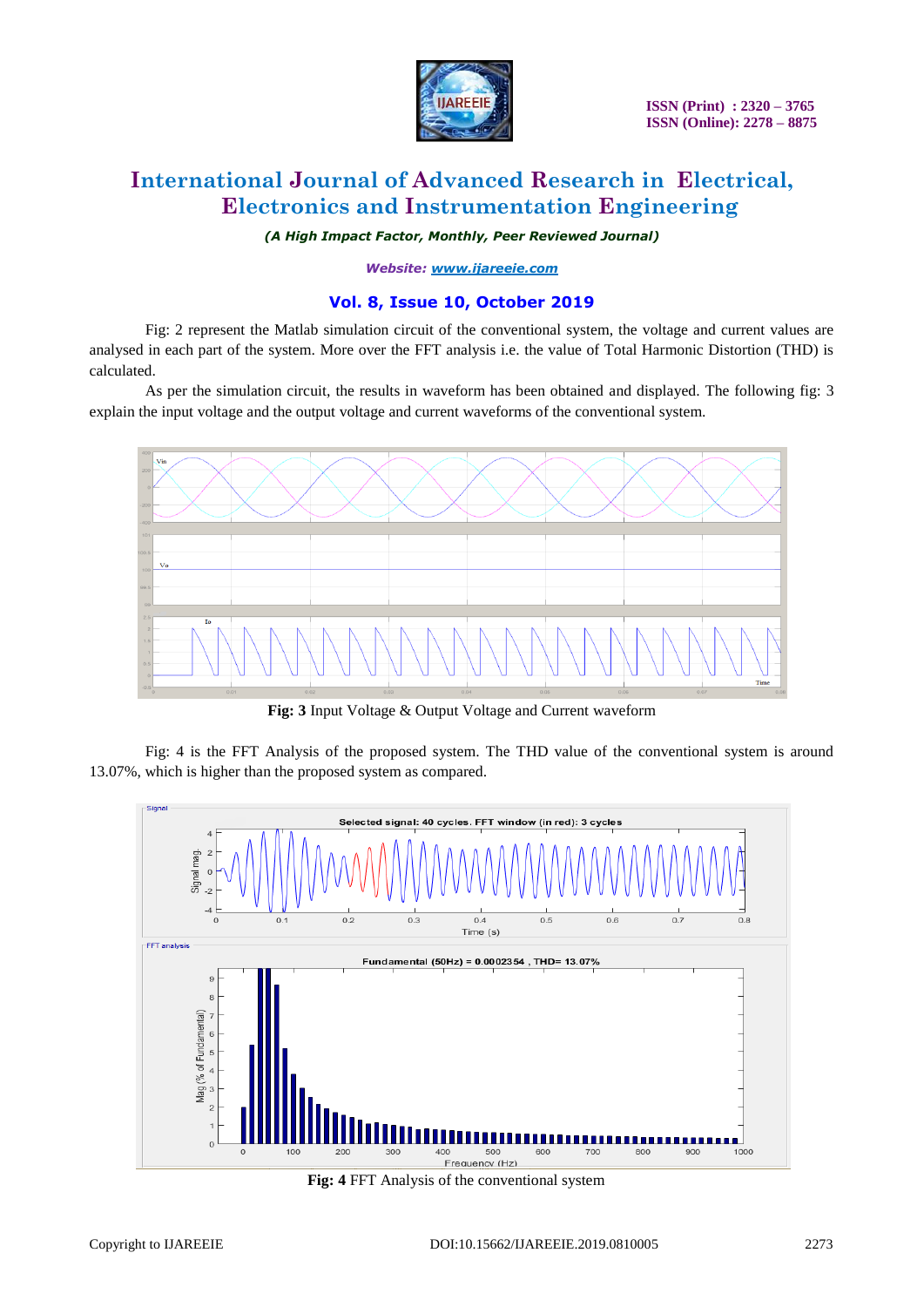

# **International Journal of Advanced Research in Electrical, Electronics and Instrumentation Engineering**

*(A High Impact Factor, Monthly, Peer Reviewed Journal)*

*Website: [www.ijareeie.com](http://www.ijareeie.com/)*

### **Vol. 8, Issue 10, October 2019**

Fig: 2 represent the Matlab simulation circuit of the conventional system, the voltage and current values are analysed in each part of the system. More over the FFT analysis i.e. the value of Total Harmonic Distortion (THD) is calculated.

As per the simulation circuit, the results in waveform has been obtained and displayed. The following fig: 3 explain the input voltage and the output voltage and current waveforms of the conventional system.



**Fig: 3** Input Voltage & Output Voltage and Current waveform

Fig: 4 is the FFT Analysis of the proposed system. The THD value of the conventional system is around 13.07%, which is higher than the proposed system as compared.



**Fig: 4** FFT Analysis of the conventional system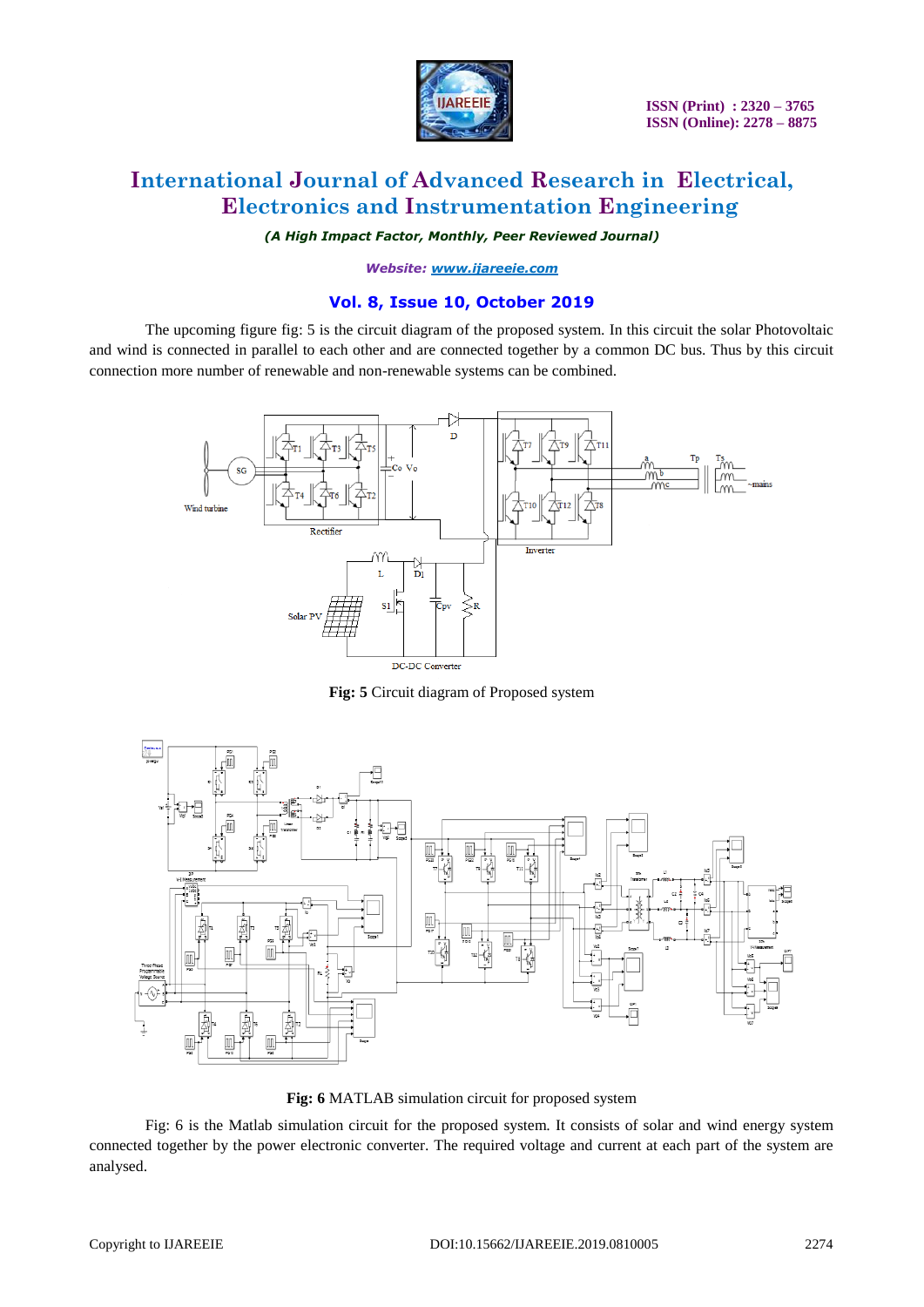

# **International Journal of Advanced Research in Electrical, Electronics and Instrumentation Engineering**

*(A High Impact Factor, Monthly, Peer Reviewed Journal)*

*Website: [www.ijareeie.com](http://www.ijareeie.com/)*

### **Vol. 8, Issue 10, October 2019**

The upcoming figure fig: 5 is the circuit diagram of the proposed system. In this circuit the solar Photovoltaic and wind is connected in parallel to each other and are connected together by a common DC bus. Thus by this circuit connection more number of renewable and non-renewable systems can be combined.



**Fig: 5** Circuit diagram of Proposed system



**Fig: 6** MATLAB simulation circuit for proposed system

Fig: 6 is the Matlab simulation circuit for the proposed system. It consists of solar and wind energy system connected together by the power electronic converter. The required voltage and current at each part of the system are analysed.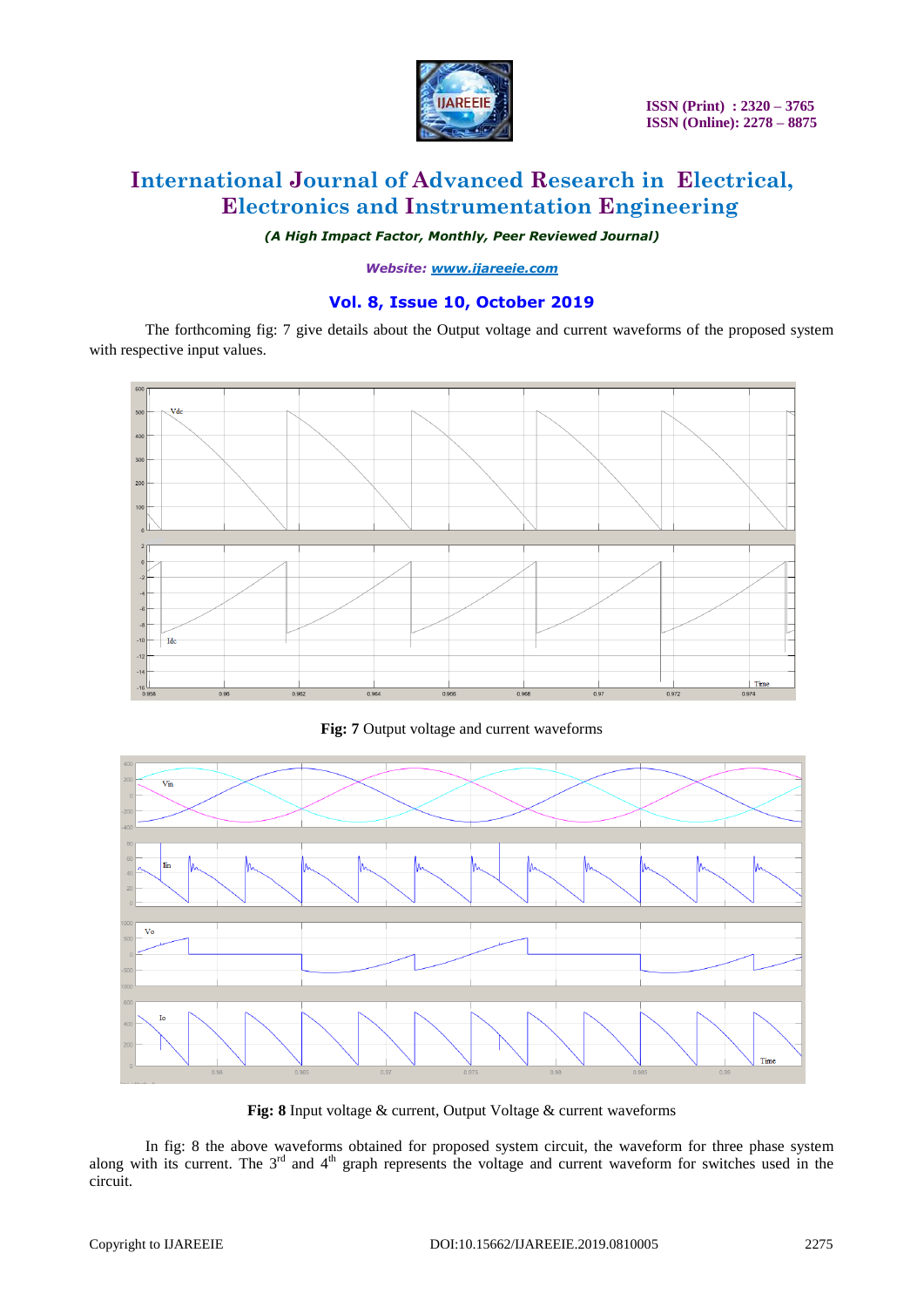

# **International Journal of Advanced Research in Electrical, Electronics and Instrumentation Engineering**

*(A High Impact Factor, Monthly, Peer Reviewed Journal)*

*Website: [www.ijareeie.com](http://www.ijareeie.com/)*

### **Vol. 8, Issue 10, October 2019**

The forthcoming fig: 7 give details about the Output voltage and current waveforms of the proposed system with respective input values.



**Fig: 7** Output voltage and current waveforms



**Fig: 8** Input voltage & current, Output Voltage & current waveforms

In fig: 8 the above waveforms obtained for proposed system circuit, the waveform for three phase system along with its current. The  $3<sup>rd</sup>$  and  $4<sup>th</sup>$  graph represents the voltage and current waveform for switches used in the circuit.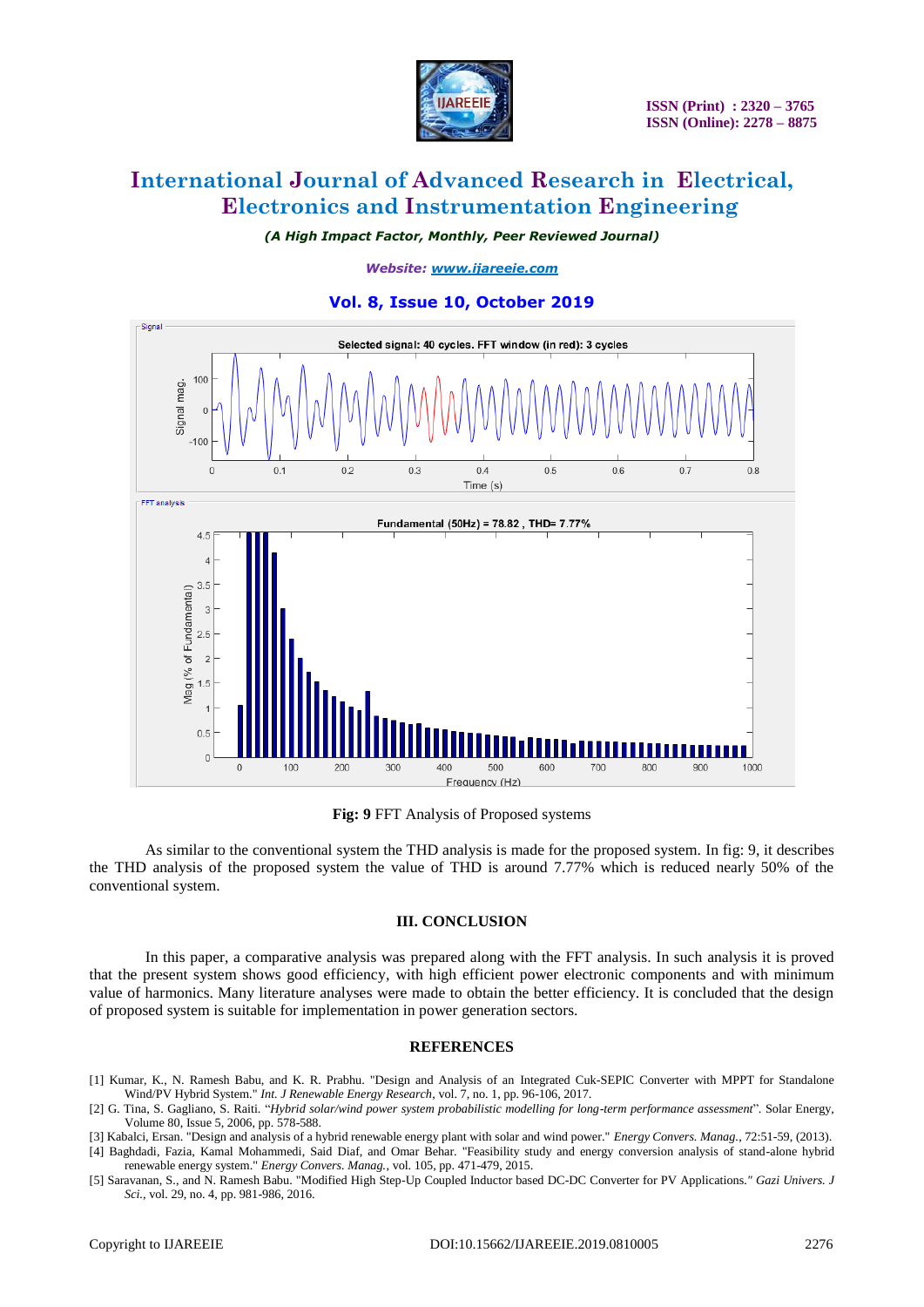

# **International Journal of Advanced Research in Electrical, Electronics and Instrumentation Engineering**

*(A High Impact Factor, Monthly, Peer Reviewed Journal)*

*Website: [www.ijareeie.com](http://www.ijareeie.com/)*

### **Vol. 8, Issue 10, October 2019**



**Fig: 9** FFT Analysis of Proposed systems

As similar to the conventional system the THD analysis is made for the proposed system. In fig: 9, it describes the THD analysis of the proposed system the value of THD is around 7.77% which is reduced nearly 50% of the conventional system.

#### **III. CONCLUSION**

In this paper, a comparative analysis was prepared along with the FFT analysis. In such analysis it is proved that the present system shows good efficiency, with high efficient power electronic components and with minimum value of harmonics. Many literature analyses were made to obtain the better efficiency. It is concluded that the design of proposed system is suitable for implementation in power generation sectors.

#### **REFERENCES**

- [1] Kumar, K., N. Ramesh Babu, and K. R. Prabhu. "Design and Analysis of an Integrated Cuk-SEPIC Converter with MPPT for Standalone Wind/PV Hybrid System." *Int. J Renewable Energy Research*, vol. 7, no. 1, pp. 96-106, 2017.
- [2] G. Tina, S. Gagliano, S. Raiti. "*Hybrid solar/wind power system probabilistic modelling for long-term performance assessment*". Solar Energy, Volume 80, Issue 5, 2006, pp. 578-588.
- [3] Kabalci, Ersan. "Design and analysis of a hybrid renewable energy plant with solar and wind power." *Energy Convers. Manag.*, 72:51-59, (2013). [4] Baghdadi, Fazia, Kamal Mohammedi, Said Diaf, and Omar Behar. "Feasibility study and energy conversion analysis of stand-alone hybrid renewable energy system." *Energy Convers. Manag.*, vol. 105, pp. 471-479, 2015.
- [5] Saravanan, S., and N. Ramesh Babu. "Modified High Step-Up Coupled Inductor based DC-DC Converter for PV Applications*." Gazi Univers. J Sci.,* vol. 29, no. 4, pp. 981-986, 2016.